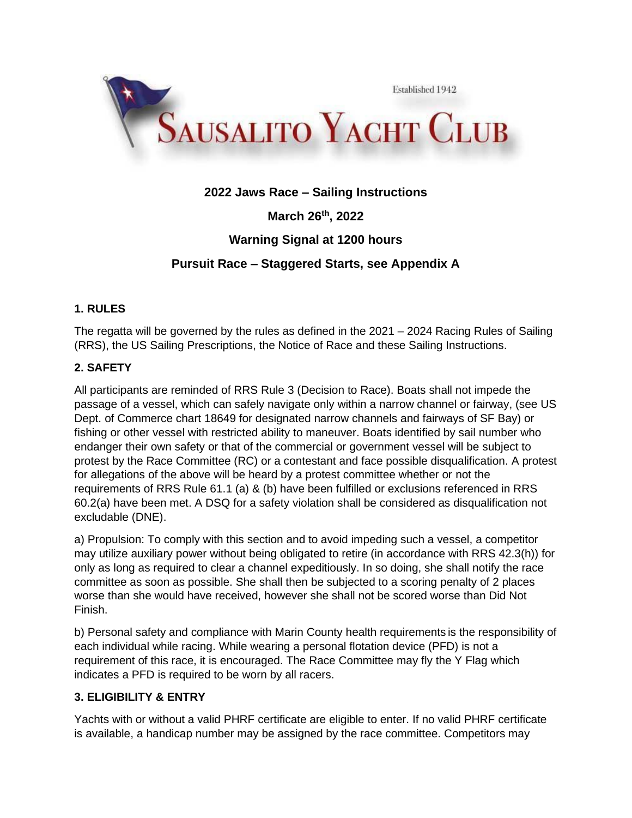

# **2022 Jaws Race – Sailing Instructions**

**March 26th, 2022**

# **Warning Signal at 1200 hours**

# **Pursuit Race – Staggered Starts, see Appendix A**

## **1. RULES**

The regatta will be governed by the rules as defined in the 2021 – 2024 Racing Rules of Sailing (RRS), the US Sailing Prescriptions, the Notice of Race and these Sailing Instructions.

# **2. SAFETY**

All participants are reminded of RRS Rule 3 (Decision to Race). Boats shall not impede the passage of a vessel, which can safely navigate only within a narrow channel or fairway, (see US Dept. of Commerce chart 18649 for designated narrow channels and fairways of SF Bay) or fishing or other vessel with restricted ability to maneuver. Boats identified by sail number who endanger their own safety or that of the commercial or government vessel will be subject to protest by the Race Committee (RC) or a contestant and face possible disqualification. A protest for allegations of the above will be heard by a protest committee whether or not the requirements of RRS Rule 61.1 (a) & (b) have been fulfilled or exclusions referenced in RRS 60.2(a) have been met. A DSQ for a safety violation shall be considered as disqualification not excludable (DNE).

a) Propulsion: To comply with this section and to avoid impeding such a vessel, a competitor may utilize auxiliary power without being obligated to retire (in accordance with RRS 42.3(h)) for only as long as required to clear a channel expeditiously. In so doing, she shall notify the race committee as soon as possible. She shall then be subjected to a scoring penalty of 2 places worse than she would have received, however she shall not be scored worse than Did Not Finish.

b) Personal safety and compliance with Marin County health requirements is the responsibility of each individual while racing. While wearing a personal flotation device (PFD) is not a requirement of this race, it is encouraged. The Race Committee may fly the Y Flag which indicates a PFD is required to be worn by all racers.

## **3. ELIGIBILITY & ENTRY**

Yachts with or without a valid PHRF certificate are eligible to enter. If no valid PHRF certificate is available, a handicap number may be assigned by the race committee. Competitors may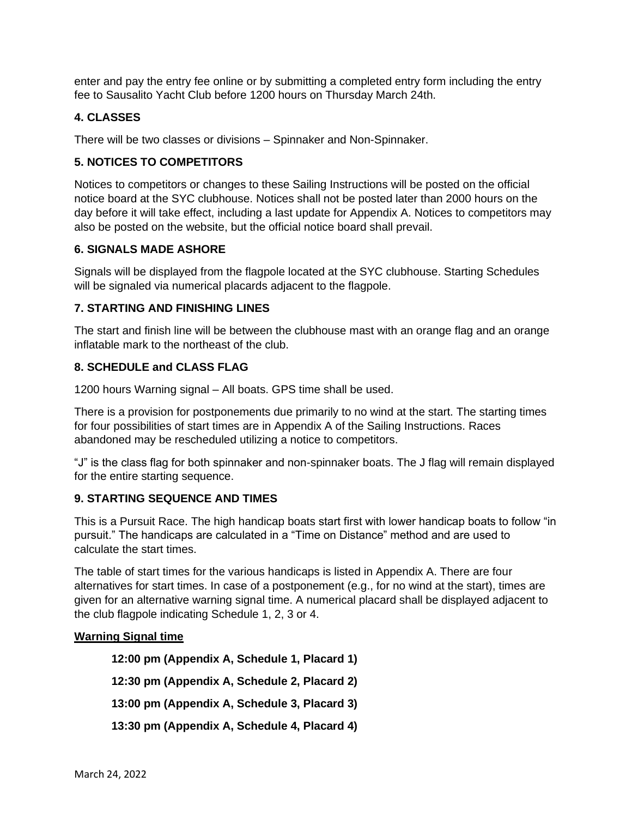enter and pay the entry fee online or by submitting a completed entry form including the entry fee to Sausalito Yacht Club before 1200 hours on Thursday March 24th.

## **4. CLASSES**

There will be two classes or divisions – Spinnaker and Non-Spinnaker.

## **5. NOTICES TO COMPETITORS**

Notices to competitors or changes to these Sailing Instructions will be posted on the official notice board at the SYC clubhouse. Notices shall not be posted later than 2000 hours on the day before it will take effect, including a last update for Appendix A. Notices to competitors may also be posted on the website, but the official notice board shall prevail.

### **6. SIGNALS MADE ASHORE**

Signals will be displayed from the flagpole located at the SYC clubhouse. Starting Schedules will be signaled via numerical placards adjacent to the flagpole.

#### **7. STARTING AND FINISHING LINES**

The start and finish line will be between the clubhouse mast with an orange flag and an orange inflatable mark to the northeast of the club.

### **8. SCHEDULE and CLASS FLAG**

1200 hours Warning signal – All boats. GPS time shall be used.

There is a provision for postponements due primarily to no wind at the start. The starting times for four possibilities of start times are in Appendix A of the Sailing Instructions. Races abandoned may be rescheduled utilizing a notice to competitors.

"J" is the class flag for both spinnaker and non-spinnaker boats. The J flag will remain displayed for the entire starting sequence.

## **9. STARTING SEQUENCE AND TIMES**

This is a Pursuit Race. The high handicap boats start first with lower handicap boats to follow "in pursuit." The handicaps are calculated in a "Time on Distance" method and are used to calculate the start times.

The table of start times for the various handicaps is listed in Appendix A. There are four alternatives for start times. In case of a postponement (e.g., for no wind at the start), times are given for an alternative warning signal time. A numerical placard shall be displayed adjacent to the club flagpole indicating Schedule 1, 2, 3 or 4.

#### **Warning Signal time**

**12:00 pm (Appendix A, Schedule 1, Placard 1) 12:30 pm (Appendix A, Schedule 2, Placard 2) 13:00 pm (Appendix A, Schedule 3, Placard 3)** 

**13:30 pm (Appendix A, Schedule 4, Placard 4)**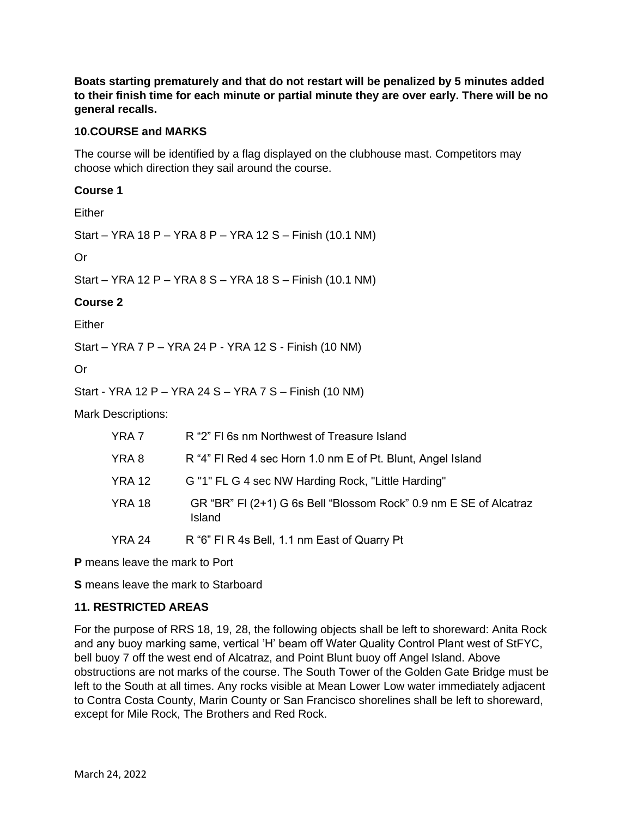**Boats starting prematurely and that do not restart will be penalized by 5 minutes added to their finish time for each minute or partial minute they are over early. There will be no general recalls.**

#### **10.COURSE and MARKS**

The course will be identified by a flag displayed on the clubhouse mast. Competitors may choose which direction they sail around the course.

#### **Course 1**

Either

Start – YRA 18 P – YRA 8 P – YRA 12 S – Finish (10.1 NM)

Or

Start – YRA 12 P – YRA 8 S – YRA 18 S – Finish (10.1 NM)

#### **Course 2**

Either

Start – YRA 7 P – YRA 24 P - YRA 12 S - Finish (10 NM)

Or

Start - YRA 12 P – YRA 24 S – YRA 7 S – Finish (10 NM)

Mark Descriptions:

| YRA 7  | R "2" FI 6s nm Northwest of Treasure Island                                 |
|--------|-----------------------------------------------------------------------------|
| YRA 8  | R "4" FI Red 4 sec Horn 1.0 nm E of Pt. Blunt, Angel Island                 |
| YRA 12 | G "1" FL G 4 sec NW Harding Rock, "Little Harding"                          |
| YRA 18 | GR "BR" FI (2+1) G 6s Bell "Blossom Rock" 0.9 nm E SE of Alcatraz<br>Island |
| YRA 24 | R "6" FI R 4s Bell, 1.1 nm East of Quarry Pt                                |

**P** means leave the mark to Port

**S** means leave the mark to Starboard

### **11. RESTRICTED AREAS**

For the purpose of RRS 18, 19, 28, the following objects shall be left to shoreward: Anita Rock and any buoy marking same, vertical 'H' beam off Water Quality Control Plant west of StFYC, bell buoy 7 off the west end of Alcatraz, and Point Blunt buoy off Angel Island. Above obstructions are not marks of the course. The South Tower of the Golden Gate Bridge must be left to the South at all times. Any rocks visible at Mean Lower Low water immediately adjacent to Contra Costa County, Marin County or San Francisco shorelines shall be left to shoreward, except for Mile Rock, The Brothers and Red Rock.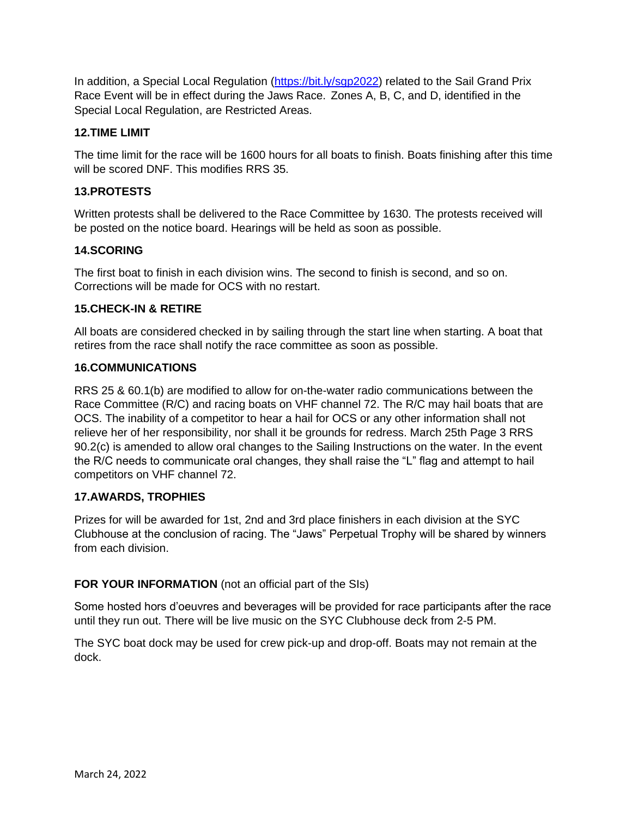In addition, a Special Local Regulation [\(https://bit.ly/sgp2022\)](https://bit.ly/sgp2022) related to the Sail Grand Prix Race Event will be in effect during the Jaws Race. Zones A, B, C, and D, identified in the Special Local Regulation, are Restricted Areas.

## **12.TIME LIMIT**

The time limit for the race will be 1600 hours for all boats to finish. Boats finishing after this time will be scored DNF. This modifies RRS 35.

#### **13.PROTESTS**

Written protests shall be delivered to the Race Committee by 1630. The protests received will be posted on the notice board. Hearings will be held as soon as possible.

### **14.SCORING**

The first boat to finish in each division wins. The second to finish is second, and so on. Corrections will be made for OCS with no restart.

#### **15.CHECK-IN & RETIRE**

All boats are considered checked in by sailing through the start line when starting. A boat that retires from the race shall notify the race committee as soon as possible.

#### **16.COMMUNICATIONS**

RRS 25 & 60.1(b) are modified to allow for on-the-water radio communications between the Race Committee (R/C) and racing boats on VHF channel 72. The R/C may hail boats that are OCS. The inability of a competitor to hear a hail for OCS or any other information shall not relieve her of her responsibility, nor shall it be grounds for redress. March 25th Page 3 RRS 90.2(c) is amended to allow oral changes to the Sailing Instructions on the water. In the event the R/C needs to communicate oral changes, they shall raise the "L" flag and attempt to hail competitors on VHF channel 72.

### **17.AWARDS, TROPHIES**

Prizes for will be awarded for 1st, 2nd and 3rd place finishers in each division at the SYC Clubhouse at the conclusion of racing. The "Jaws" Perpetual Trophy will be shared by winners from each division.

### **FOR YOUR INFORMATION** (not an official part of the SIs)

Some hosted hors d'oeuvres and beverages will be provided for race participants after the race until they run out. There will be live music on the SYC Clubhouse deck from 2-5 PM.

The SYC boat dock may be used for crew pick-up and drop-off. Boats may not remain at the dock.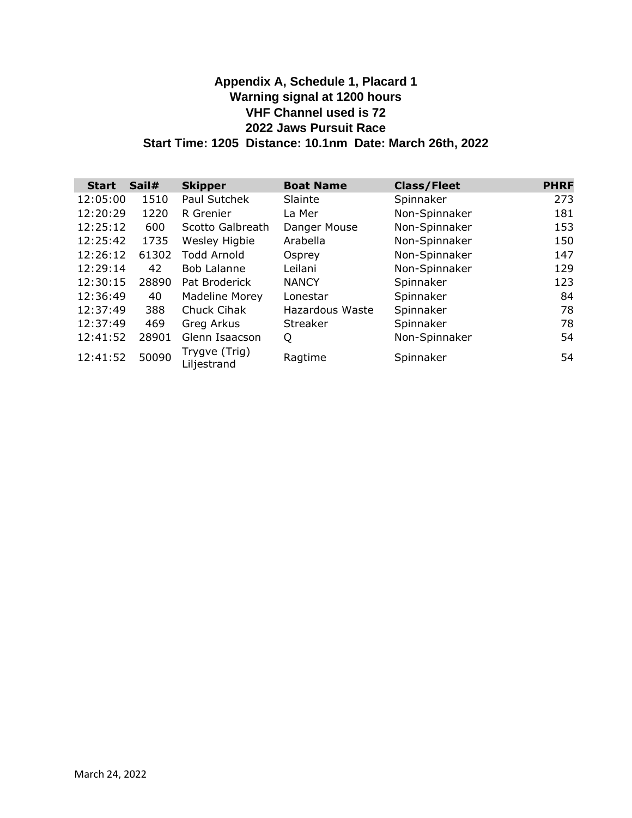# **Appendix A, Schedule 1, Placard 1 Warning signal at 1200 hours VHF Channel used is 72 2022 Jaws Pursuit Race Start Time: 1205 Distance: 10.1nm Date: March 26th, 2022**

| <b>Start</b> | Sail# | <b>Skipper</b>               | <b>Boat Name</b> | <b>Class/Fleet</b> | <b>PHRF</b> |
|--------------|-------|------------------------------|------------------|--------------------|-------------|
| 12:05:00     | 1510  | Paul Sutchek                 | Slainte          | Spinnaker          | 273         |
| 12:20:29     | 1220  | R Grenier                    | La Mer           | Non-Spinnaker      | 181         |
| 12:25:12     | 600   | Scotto Galbreath             | Danger Mouse     | Non-Spinnaker      | 153         |
| 12:25:42     | 1735  | Wesley Higbie                | Arabella         | Non-Spinnaker      | 150         |
| 12:26:12     | 61302 | <b>Todd Arnold</b>           | Osprey           | Non-Spinnaker      | 147         |
| 12:29:14     | 42    | <b>Bob Lalanne</b>           | Leilani          | Non-Spinnaker      | 129         |
| 12:30:15     | 28890 | Pat Broderick                | <b>NANCY</b>     | Spinnaker          | 123         |
| 12:36:49     | 40    | <b>Madeline Morey</b>        | Lonestar         | Spinnaker          | 84          |
| 12:37:49     | 388   | Chuck Cihak                  | Hazardous Waste  | Spinnaker          | 78          |
| 12:37:49     | 469   | Greg Arkus                   | Streaker         | Spinnaker          | 78          |
| 12:41:52     | 28901 | Glenn Isaacson               | Q                | Non-Spinnaker      | 54          |
| 12:41:52     | 50090 | Trygve (Trig)<br>Liljestrand | Ragtime          | Spinnaker          | 54          |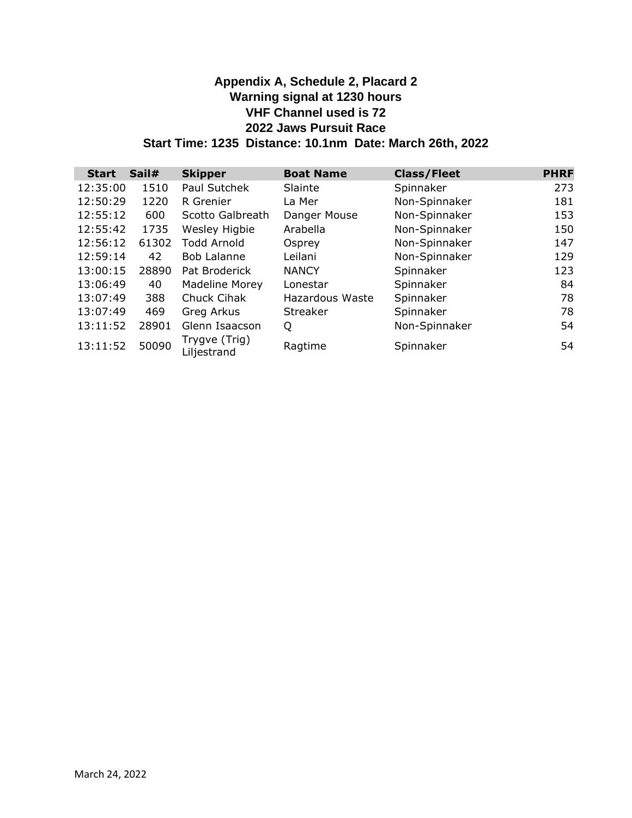# **Appendix A, Schedule 2, Placard 2 Warning signal at 1230 hours VHF Channel used is 72 2022 Jaws Pursuit Race Start Time: 1235 Distance: 10.1nm Date: March 26th, 2022**

| <b>Start</b> | Sail# | <b>Skipper</b>               | <b>Boat Name</b> | <b>Class/Fleet</b> | <b>PHRF</b> |
|--------------|-------|------------------------------|------------------|--------------------|-------------|
| 12:35:00     | 1510  | Paul Sutchek                 | Slainte          | Spinnaker          | 273         |
| 12:50:29     | 1220  | R Grenier                    | La Mer           | Non-Spinnaker      | 181         |
| 12:55:12     | 600   | Scotto Galbreath             | Danger Mouse     | Non-Spinnaker      | 153         |
| 12:55:42     | 1735  | Wesley Higbie                | Arabella         | Non-Spinnaker      | 150         |
| 12:56:12     | 61302 | <b>Todd Arnold</b>           | Osprey           | Non-Spinnaker      | 147         |
| 12:59:14     | 42    | <b>Bob Lalanne</b>           | Leilani          | Non-Spinnaker      | 129         |
| 13:00:15     | 28890 | Pat Broderick                | <b>NANCY</b>     | Spinnaker          | 123         |
| 13:06:49     | 40    | Madeline Morey               | Lonestar         | Spinnaker          | 84          |
| 13:07:49     | 388   | Chuck Cihak                  | Hazardous Waste  | Spinnaker          | 78          |
| 13:07:49     | 469   | Greg Arkus                   | Streaker         | Spinnaker          | 78          |
| 13:11:52     | 28901 | Glenn Isaacson               | Q                | Non-Spinnaker      | 54          |
| 13:11:52     | 50090 | Trygve (Trig)<br>Liljestrand | Ragtime          | Spinnaker          | 54          |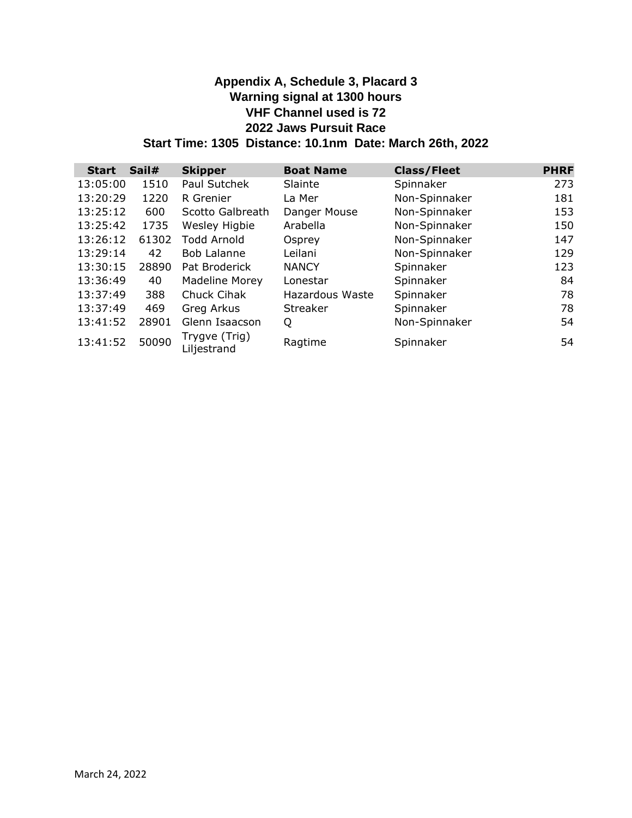# **Appendix A, Schedule 3, Placard 3 Warning signal at 1300 hours VHF Channel used is 72 2022 Jaws Pursuit Race Start Time: 1305 Distance: 10.1nm Date: March 26th, 2022**

| <b>Start</b> | Sail# | <b>Skipper</b>               | <b>Boat Name</b> | <b>Class/Fleet</b> | <b>PHRF</b> |
|--------------|-------|------------------------------|------------------|--------------------|-------------|
| 13:05:00     | 1510  | Paul Sutchek                 | Slainte          | Spinnaker          | 273         |
| 13:20:29     | 1220  | R Grenier                    | La Mer           | Non-Spinnaker      | 181         |
| 13:25:12     | 600   | Scotto Galbreath             | Danger Mouse     | Non-Spinnaker      | 153         |
| 13:25:42     | 1735  | Wesley Higbie                | Arabella         | Non-Spinnaker      | 150         |
| 13:26:12     | 61302 | Todd Arnold                  | Osprey           | Non-Spinnaker      | 147         |
| 13:29:14     | 42    | <b>Bob Lalanne</b>           | Leilani          | Non-Spinnaker      | 129         |
| 13:30:15     | 28890 | Pat Broderick                | <b>NANCY</b>     | Spinnaker          | 123         |
| 13:36:49     | 40    | <b>Madeline Morey</b>        | Lonestar         | Spinnaker          | 84          |
| 13:37:49     | 388   | Chuck Cihak                  | Hazardous Waste  | Spinnaker          | 78          |
| 13:37:49     | 469   | Greg Arkus                   | Streaker         | Spinnaker          | 78          |
| 13:41:52     | 28901 | Glenn Isaacson               | Q                | Non-Spinnaker      | 54          |
| 13:41:52     | 50090 | Trygve (Trig)<br>Liljestrand | Ragtime          | Spinnaker          | 54          |